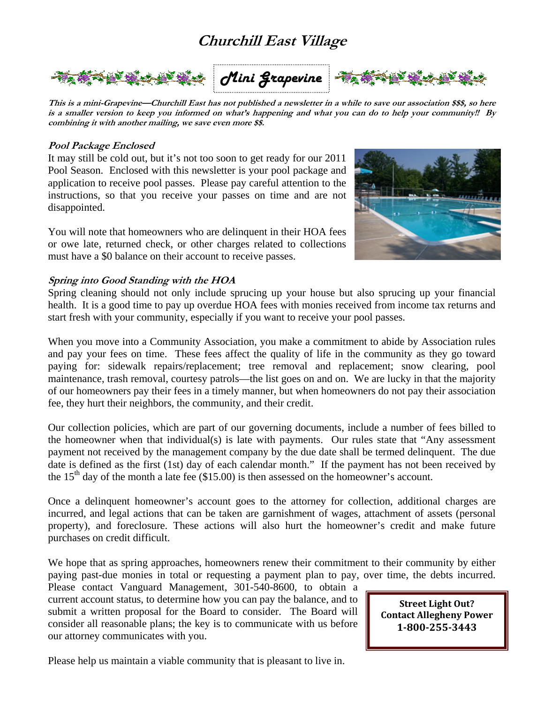## **Churchill East Village**



*Mini Grapevine*



**This is a mini-Grapevine—Churchill East has not published a newsletter in a while to save our association \$\$\$, so here is a smaller version to keep you informed on what's happening and what you can do to help your community!! By combining it with another mailing, we save even more \$\$.** 

#### **Pool Package Enclosed**

It may still be cold out, but it's not too soon to get ready for our 2011 Pool Season. Enclosed with this newsletter is your pool package and application to receive pool passes. Please pay careful attention to the instructions, so that you receive your passes on time and are not disappointed.

You will note that homeowners who are delinquent in their HOA fees or owe late, returned check, or other charges related to collections must have a \$0 balance on their account to receive passes.



#### **Spring into Good Standing with the HOA**

Spring cleaning should not only include sprucing up your house but also sprucing up your financial health. It is a good time to pay up overdue HOA fees with monies received from income tax returns and start fresh with your community, especially if you want to receive your pool passes.

When you move into a Community Association, you make a commitment to abide by Association rules and pay your fees on time. These fees affect the quality of life in the community as they go toward paying for: sidewalk repairs/replacement; tree removal and replacement; snow clearing, pool maintenance, trash removal, courtesy patrols—the list goes on and on. We are lucky in that the majority of our homeowners pay their fees in a timely manner, but when homeowners do not pay their association fee, they hurt their neighbors, the community, and their credit.

Our collection policies, which are part of our governing documents, include a number of fees billed to the homeowner when that individual(s) is late with payments. Our rules state that "Any assessment payment not received by the management company by the due date shall be termed delinquent. The due date is defined as the first (1st) day of each calendar month." If the payment has not been received by the  $15<sup>th</sup>$  day of the month a late fee (\$15.00) is then assessed on the homeowner's account.

Once a delinquent homeowner's account goes to the attorney for collection, additional charges are incurred, and legal actions that can be taken are garnishment of wages, attachment of assets (personal property), and foreclosure. These actions will also hurt the homeowner's credit and make future purchases on credit difficult.

We hope that as spring approaches, homeowners renew their commitment to their community by either paying past-due monies in total or requesting a payment plan to pay, over time, the debts incurred.

Please contact Vanguard Management, 301-540-8600, to obtain a current account status, to determine how you can pay the balance, and to submit a written proposal for the Board to consider. The Board will consider all reasonable plans; the key is to communicate with us before our attorney communicates with you.

**Street Light Out? Contact Allegheny Power 18002553443**

Please help us maintain a viable community that is pleasant to live in.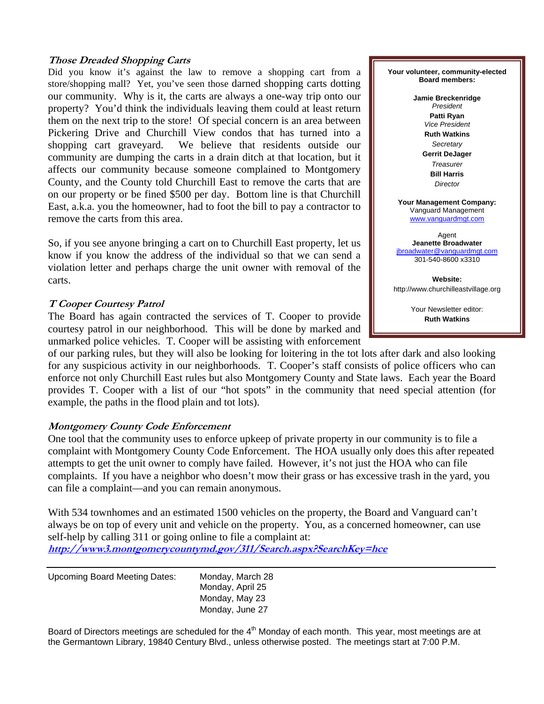#### **Those Dreaded Shopping Carts**

Did you know it's against the law to remove a shopping cart from a store/shopping mall? Yet, you've seen those darned shopping carts dotting our community. Why is it, the carts are always a one-way trip onto our property? You'd think the individuals leaving them could at least return them on the next trip to the store! Of special concern is an area between Pickering Drive and Churchill View condos that has turned into a shopping cart graveyard. We believe that residents outside our community are dumping the carts in a drain ditch at that location, but it affects our community because someone complained to Montgomery County, and the County told Churchill East to remove the carts that are on our property or be fined \$500 per day. Bottom line is that Churchill East, a.k.a. you the homeowner, had to foot the bill to pay a contractor to remove the carts from this area.

So, if you see anyone bringing a cart on to Churchill East property, let us know if you know the address of the individual so that we can send a violation letter and perhaps charge the unit owner with removal of the carts.

#### **T Cooper Courtesy Patrol**

The Board has again contracted the services of T. Cooper to provide courtesy patrol in our neighborhood. This will be done by marked and unmarked police vehicles. T. Cooper will be assisting with enforcement

of our parking rules, but they will also be looking for loitering in the tot lots after dark and also looking for any suspicious activity in our neighborhoods. T. Cooper's staff consists of police officers who can enforce not only Churchill East rules but also Montgomery County and State laws. Each year the Board provides T. Cooper with a list of our "hot spots" in the community that need special attention (for example, the paths in the flood plain and tot lots).

#### **Montgomery County Code Enforcement**

One tool that the community uses to enforce upkeep of private property in our community is to file a complaint with Montgomery County Code Enforcement. The HOA usually only does this after repeated attempts to get the unit owner to comply have failed. However, it's not just the HOA who can file complaints. If you have a neighbor who doesn't mow their grass or has excessive trash in the yard, you can file a complaint—and you can remain anonymous.

With 534 townhomes and an estimated 1500 vehicles on the property, the Board and Vanguard can't always be on top of every unit and vehicle on the property. You, as a concerned homeowner, can use self-help by calling 311 or going online to file a complaint at: **http://www3.montgomerycountymd.gov/311/Search.aspx?SearchKey=hce**

Upcoming Board Meeting Dates: Monday, March 28 Monday, April 25 Monday, May 23 Monday, June 27

Board of Directors meetings are scheduled for the 4<sup>th</sup> Monday of each month. This year, most meetings are at the Germantown Library, 19840 Century Blvd., unless otherwise posted. The meetings start at 7:00 P.M.

**Your volunteer, community-elected Board members:** 

> **Jamie Breckenridge**  *President*  **Patti Ryan**  *Vice President*  **Ruth Watkins**  *Secretary*  **Gerrit DeJager**  *Treasurer*  **Bill Harris**  *Director*

**Your Management Company:**  Vanguard Management www.vanguardmgt.com

Agent **Jeanette Broadwater**  jbroadwater@vanguardmgt.com 301-540-8600 x3310

**Website:**  http://www.churchilleastvillage.org

> Your Newsletter editor: **Ruth Watkins**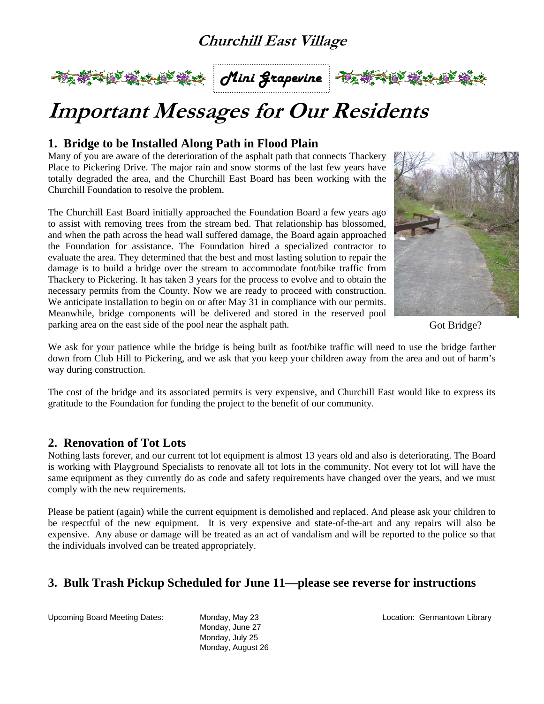## **Churchill East Village**







## **Important Messages for Our Residents**

#### **1. Bridge to be Installed Along Path in Flood Plain**

Many of you are aware of the deterioration of the asphalt path that connects Thackery Place to Pickering Drive. The major rain and snow storms of the last few years have totally degraded the area, and the Churchill East Board has been working with the Churchill Foundation to resolve the problem.

The Churchill East Board initially approached the Foundation Board a few years ago to assist with removing trees from the stream bed. That relationship has blossomed, and when the path across the head wall suffered damage, the Board again approached the Foundation for assistance. The Foundation hired a specialized contractor to evaluate the area. They determined that the best and most lasting solution to repair the damage is to build a bridge over the stream to accommodate foot/bike traffic from Thackery to Pickering. It has taken 3 years for the process to evolve and to obtain the necessary permits from the County. Now we are ready to proceed with construction. We anticipate installation to begin on or after May 31 in compliance with our permits. Meanwhile, bridge components will be delivered and stored in the reserved pool parking area on the east side of the pool near the asphalt path.



Got Bridge?

We ask for your patience while the bridge is being built as foot/bike traffic will need to use the bridge farther down from Club Hill to Pickering, and we ask that you keep your children away from the area and out of harm's way during construction.

The cost of the bridge and its associated permits is very expensive, and Churchill East would like to express its gratitude to the Foundation for funding the project to the benefit of our community.

#### **2. Renovation of Tot Lots**

Nothing lasts forever, and our current tot lot equipment is almost 13 years old and also is deteriorating. The Board is working with Playground Specialists to renovate all tot lots in the community. Not every tot lot will have the same equipment as they currently do as code and safety requirements have changed over the years, and we must comply with the new requirements.

Please be patient (again) while the current equipment is demolished and replaced. And please ask your children to be respectful of the new equipment. It is very expensive and state-of-the-art and any repairs will also be expensive. Any abuse or damage will be treated as an act of vandalism and will be reported to the police so that the individuals involved can be treated appropriately.

#### **3. Bulk Trash Pickup Scheduled for June 11—please see reverse for instructions**

Upcoming Board Meeting Dates: Monday, May 23 Location: Germantown Library

Monday, June 27 Monday, July 25 Monday, August 26